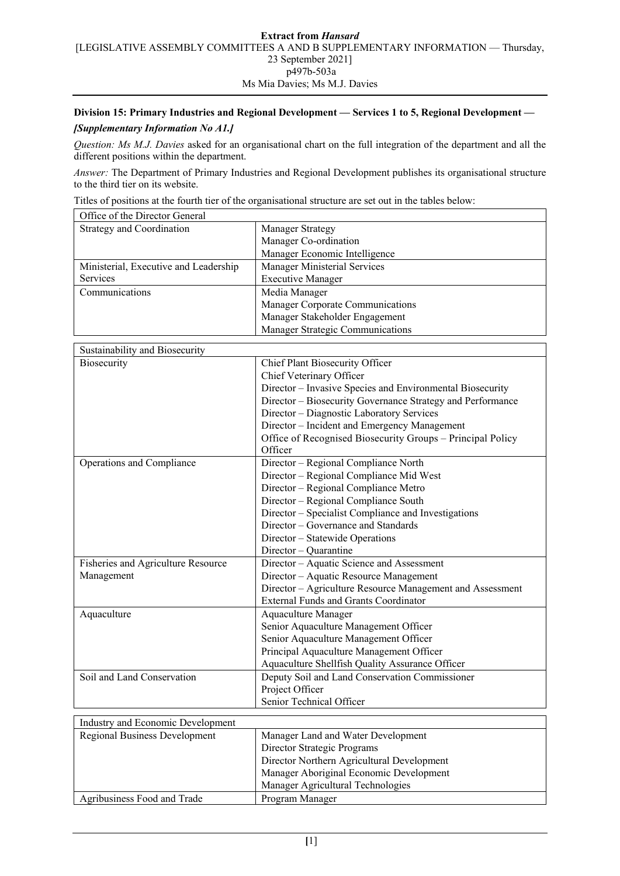## **Division 15: Primary Industries and Regional Development — Services 1 to 5, Regional Development —**

# *[Supplementary Information No A1.]*

*Question: Ms M.J. Davies* asked for an organisational chart on the full integration of the department and all the different positions within the department.

*Answer:* The Department of Primary Industries and Regional Development publishes its organisational structure to the third tier on its website.

Titles of positions at the fourth tier of the organisational structure are set out in the tables below:

| Office of the Director General        |                                  |  |
|---------------------------------------|----------------------------------|--|
| Strategy and Coordination             | <b>Manager Strategy</b>          |  |
|                                       | Manager Co-ordination            |  |
|                                       | Manager Economic Intelligence    |  |
| Ministerial, Executive and Leadership | Manager Ministerial Services     |  |
| <b>Services</b>                       | <b>Executive Manager</b>         |  |
| Communications                        | Media Manager                    |  |
|                                       | Manager Corporate Communications |  |
|                                       | Manager Stakeholder Engagement   |  |
|                                       | Manager Strategic Communications |  |

| Sustainability and Biosecurity     |                                                            |  |
|------------------------------------|------------------------------------------------------------|--|
| Biosecurity                        | Chief Plant Biosecurity Officer                            |  |
|                                    | Chief Veterinary Officer                                   |  |
|                                    | Director - Invasive Species and Environmental Biosecurity  |  |
|                                    | Director - Biosecurity Governance Strategy and Performance |  |
|                                    | Director - Diagnostic Laboratory Services                  |  |
|                                    | Director - Incident and Emergency Management               |  |
|                                    | Office of Recognised Biosecurity Groups - Principal Policy |  |
|                                    | Officer                                                    |  |
| Operations and Compliance          | Director - Regional Compliance North                       |  |
|                                    | Director - Regional Compliance Mid West                    |  |
|                                    | Director - Regional Compliance Metro                       |  |
|                                    | Director - Regional Compliance South                       |  |
|                                    | Director – Specialist Compliance and Investigations        |  |
|                                    | Director – Governance and Standards                        |  |
|                                    | Director - Statewide Operations                            |  |
|                                    | $Director - Quantine$                                      |  |
| Fisheries and Agriculture Resource | Director - Aquatic Science and Assessment                  |  |
| Management                         | Director - Aquatic Resource Management                     |  |
|                                    | Director - Agriculture Resource Management and Assessment  |  |
|                                    | <b>External Funds and Grants Coordinator</b>               |  |
| Aquaculture                        | Aquaculture Manager                                        |  |
|                                    | Senior Aquaculture Management Officer                      |  |
|                                    | Senior Aquaculture Management Officer                      |  |
|                                    | Principal Aquaculture Management Officer                   |  |
|                                    | Aquaculture Shellfish Quality Assurance Officer            |  |
| Soil and Land Conservation         | Deputy Soil and Land Conservation Commissioner             |  |
|                                    | Project Officer                                            |  |
|                                    | Senior Technical Officer                                   |  |

| Industry and Economic Development    |                                            |  |
|--------------------------------------|--------------------------------------------|--|
| <b>Regional Business Development</b> | Manager Land and Water Development         |  |
|                                      | Director Strategic Programs                |  |
|                                      | Director Northern Agricultural Development |  |
|                                      | Manager Aboriginal Economic Development    |  |
|                                      | Manager Agricultural Technologies          |  |
| Agribusiness Food and Trade          | Program Manager                            |  |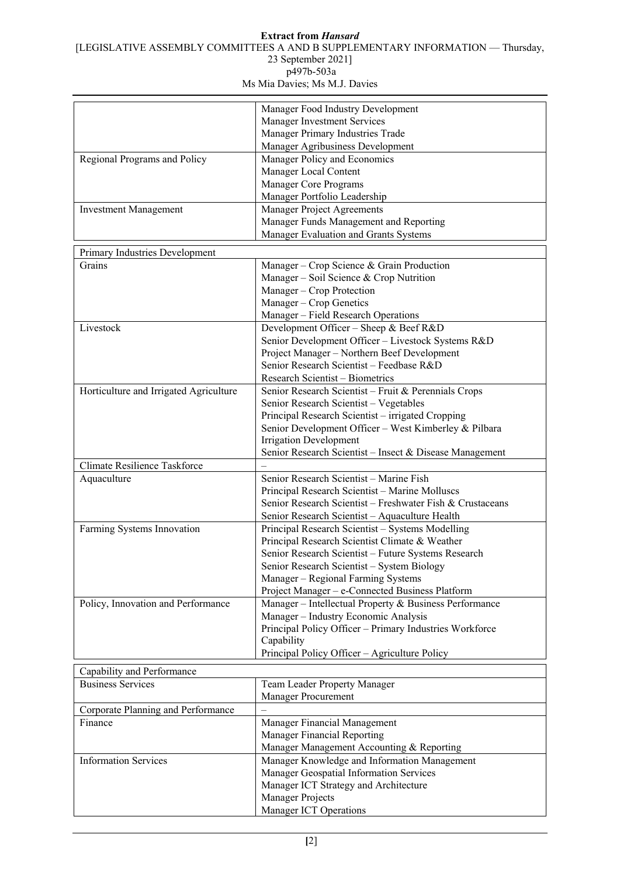## **Extract from** *Hansard*

[LEGISLATIVE ASSEMBLY COMMITTEES A AND B SUPPLEMENTARY INFORMATION — Thursday,

23 September 2021]

p497b-503a

Ms Mia Davies; Ms M.J. Davies

|                                        | Manager Food Industry Development                         |  |
|----------------------------------------|-----------------------------------------------------------|--|
|                                        | Manager Investment Services                               |  |
|                                        | Manager Primary Industries Trade                          |  |
|                                        | Manager Agribusiness Development                          |  |
| Regional Programs and Policy           | Manager Policy and Economics                              |  |
|                                        | Manager Local Content                                     |  |
|                                        | Manager Core Programs                                     |  |
|                                        | Manager Portfolio Leadership                              |  |
| <b>Investment Management</b>           | Manager Project Agreements                                |  |
|                                        | Manager Funds Management and Reporting                    |  |
|                                        | Manager Evaluation and Grants Systems                     |  |
| Primary Industries Development         |                                                           |  |
| Grains                                 | Manager - Crop Science & Grain Production                 |  |
|                                        | Manager - Soil Science & Crop Nutrition                   |  |
|                                        | Manager - Crop Protection                                 |  |
|                                        | Manager - Crop Genetics                                   |  |
|                                        | Manager - Field Research Operations                       |  |
| Livestock                              | Development Officer - Sheep & Beef R&D                    |  |
|                                        | Senior Development Officer - Livestock Systems R&D        |  |
|                                        | Project Manager - Northern Beef Development               |  |
|                                        | Senior Research Scientist - Feedbase R&D                  |  |
|                                        | Research Scientist - Biometrics                           |  |
| Horticulture and Irrigated Agriculture | Senior Research Scientist - Fruit & Perennials Crops      |  |
|                                        | Senior Research Scientist - Vegetables                    |  |
|                                        | Principal Research Scientist - irrigated Cropping         |  |
|                                        | Senior Development Officer - West Kimberley & Pilbara     |  |
|                                        | <b>Irrigation Development</b>                             |  |
|                                        | Senior Research Scientist - Insect & Disease Management   |  |
| Climate Resilience Taskforce           |                                                           |  |
| Aquaculture                            | Senior Research Scientist - Marine Fish                   |  |
|                                        | Principal Research Scientist - Marine Molluscs            |  |
|                                        | Senior Research Scientist - Freshwater Fish & Crustaceans |  |
|                                        | Senior Research Scientist - Aquaculture Health            |  |
| Farming Systems Innovation             | Principal Research Scientist - Systems Modelling          |  |
|                                        | Principal Research Scientist Climate & Weather            |  |
|                                        | Senior Research Scientist - Future Systems Research       |  |
|                                        | Senior Research Scientist - System Biology                |  |
|                                        | Manager - Regional Farming Systems                        |  |
|                                        | Project Manager - e-Connected Business Platform           |  |
| Policy, Innovation and Performance     | Manager - Intellectual Property & Business Performance    |  |
|                                        | Manager - Industry Economic Analysis                      |  |
|                                        | Principal Policy Officer - Primary Industries Workforce   |  |
|                                        | Capability                                                |  |
|                                        | Principal Policy Officer - Agriculture Policy             |  |
| Capability and Performance             |                                                           |  |
| <b>Business Services</b>               | Team Leader Property Manager                              |  |
|                                        | <b>Manager Procurement</b>                                |  |
| Corporate Planning and Performance     |                                                           |  |
| Finance                                | Manager Financial Management                              |  |
|                                        | Manager Financial Reporting                               |  |
|                                        | Manager Management Accounting & Reporting                 |  |
| <b>Information Services</b>            | Manager Knowledge and Information Management              |  |
|                                        | Manager Geospatial Information Services                   |  |
|                                        | Manager ICT Strategy and Architecture                     |  |
|                                        | Manager Projects                                          |  |
|                                        | Manager ICT Operations                                    |  |
|                                        |                                                           |  |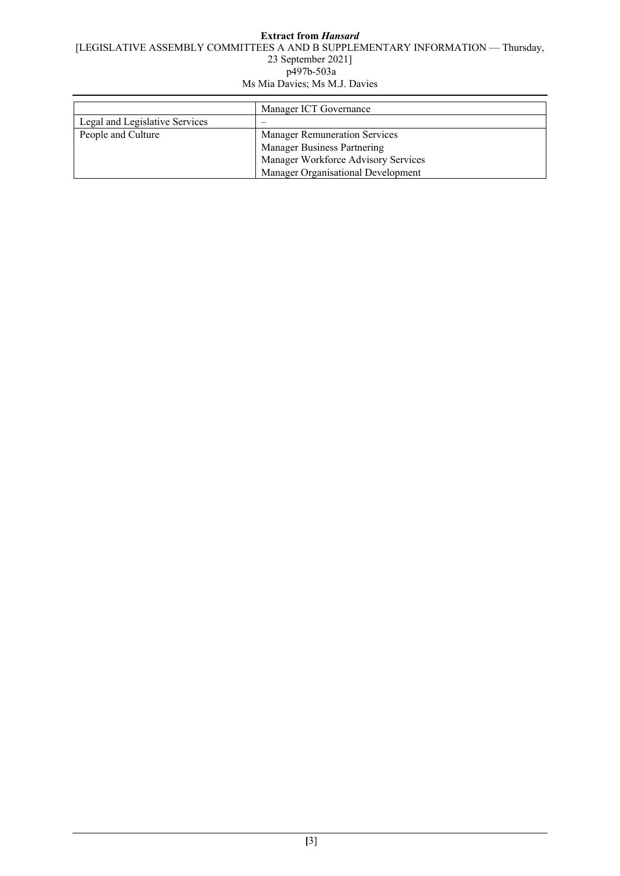|                                | Manager ICT Governance               |
|--------------------------------|--------------------------------------|
| Legal and Legislative Services |                                      |
| People and Culture             | <b>Manager Remuneration Services</b> |
|                                | <b>Manager Business Partnering</b>   |
|                                | Manager Workforce Advisory Services  |
|                                | Manager Organisational Development   |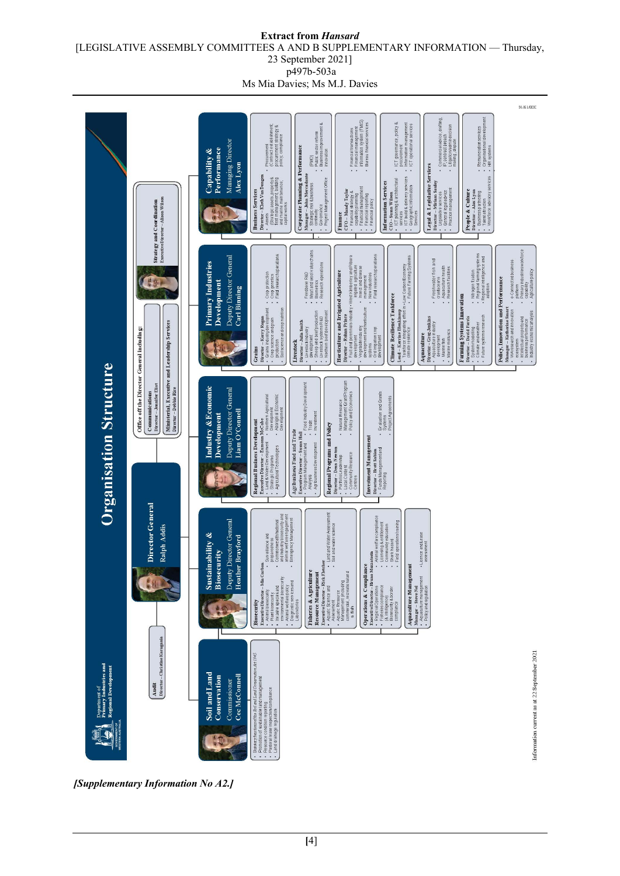#### **Extract from** *Hansard* [LEGISLATIVE ASSEMBLY COMMITTEES A AND B SUPPLEMENTARY INFORMATION — Thursday, 23 September 2021] p497b-503a

Ms Mia Davies; Ms M.J. Davies



*[Supplementary Information No A2.]*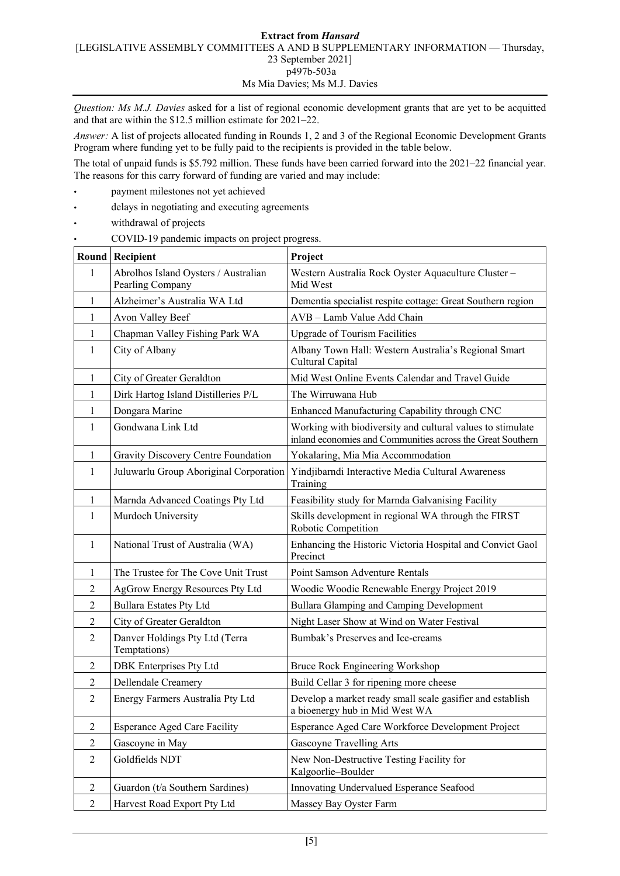*Question: Ms M.J. Davies* asked for a list of regional economic development grants that are yet to be acquitted and that are within the \$12.5 million estimate for 2021–22.

*Answer:* A list of projects allocated funding in Rounds 1, 2 and 3 of the Regional Economic Development Grants Program where funding yet to be fully paid to the recipients is provided in the table below.

The total of unpaid funds is \$5.792 million. These funds have been carried forward into the 2021–22 financial year. The reasons for this carry forward of funding are varied and may include:

- payment milestones not yet achieved
- delays in negotiating and executing agreements
- withdrawal of projects
- COVID-19 pandemic impacts on project progress.

|                | <b>Round Recipient</b>                                   | Project                                                                                                                  |
|----------------|----------------------------------------------------------|--------------------------------------------------------------------------------------------------------------------------|
| 1              | Abrolhos Island Oysters / Australian<br>Pearling Company | Western Australia Rock Oyster Aquaculture Cluster-<br>Mid West                                                           |
| 1              | Alzheimer's Australia WA Ltd                             | Dementia specialist respite cottage: Great Southern region                                                               |
| 1              | Avon Valley Beef                                         | AVB - Lamb Value Add Chain                                                                                               |
| 1              | Chapman Valley Fishing Park WA                           | <b>Upgrade of Tourism Facilities</b>                                                                                     |
| 1              | City of Albany                                           | Albany Town Hall: Western Australia's Regional Smart<br>Cultural Capital                                                 |
| 1              | City of Greater Geraldton                                | Mid West Online Events Calendar and Travel Guide                                                                         |
| 1              | Dirk Hartog Island Distilleries P/L                      | The Wirruwana Hub                                                                                                        |
| 1              | Dongara Marine                                           | Enhanced Manufacturing Capability through CNC                                                                            |
| 1              | Gondwana Link Ltd                                        | Working with biodiversity and cultural values to stimulate<br>inland economies and Communities across the Great Southern |
| 1              | Gravity Discovery Centre Foundation                      | Yokalaring, Mia Mia Accommodation                                                                                        |
| 1              | Juluwarlu Group Aboriginal Corporation                   | Yindjibarndi Interactive Media Cultural Awareness<br>Training                                                            |
| 1              | Marnda Advanced Coatings Pty Ltd                         | Feasibility study for Marnda Galvanising Facility                                                                        |
| 1              | Murdoch University                                       | Skills development in regional WA through the FIRST<br>Robotic Competition                                               |
| 1              | National Trust of Australia (WA)                         | Enhancing the Historic Victoria Hospital and Convict Gaol<br>Precinct                                                    |
| 1              | The Trustee for The Cove Unit Trust                      | Point Samson Adventure Rentals                                                                                           |
| $\overline{2}$ | AgGrow Energy Resources Pty Ltd                          | Woodie Woodie Renewable Energy Project 2019                                                                              |
| 2              | <b>Bullara Estates Pty Ltd</b>                           | Bullara Glamping and Camping Development                                                                                 |
| 2              | City of Greater Geraldton                                | Night Laser Show at Wind on Water Festival                                                                               |
| 2              | Danver Holdings Pty Ltd (Terra<br>Temptations)           | Bumbak's Preserves and Ice-creams                                                                                        |
| 2              | <b>DBK</b> Enterprises Pty Ltd                           | Bruce Rock Engineering Workshop                                                                                          |
| 2              | Dellendale Creamery                                      | Build Cellar 3 for ripening more cheese                                                                                  |
| $\overline{2}$ | Energy Farmers Australia Pty Ltd                         | Develop a market ready small scale gasifier and establish<br>a bioenergy hub in Mid West WA                              |
| $\overline{2}$ | <b>Esperance Aged Care Facility</b>                      | Esperance Aged Care Workforce Development Project                                                                        |
| $\mathfrak{2}$ | Gascoyne in May                                          | Gascoyne Travelling Arts                                                                                                 |
| $\overline{2}$ | Goldfields NDT                                           | New Non-Destructive Testing Facility for<br>Kalgoorlie-Boulder                                                           |
| $\overline{2}$ | Guardon (t/a Southern Sardines)                          | Innovating Undervalued Esperance Seafood                                                                                 |
| $\overline{2}$ | Harvest Road Export Pty Ltd                              | Massey Bay Oyster Farm                                                                                                   |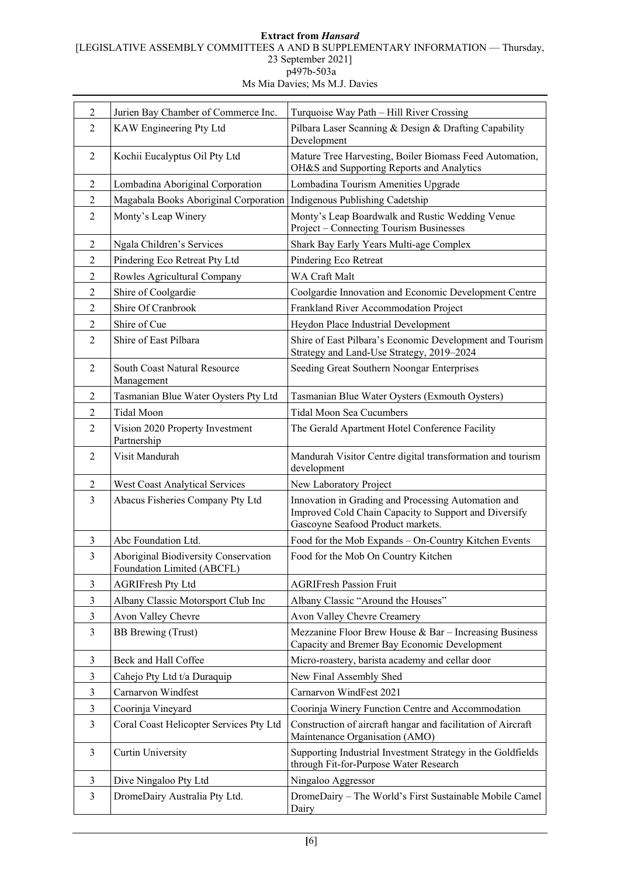## **Extract from** *Hansard* [LEGISLATIVE ASSEMBLY COMMITTEES A AND B SUPPLEMENTARY INFORMATION — Thursday, 23 September 2021] p497b-503a

Ms Mia Davies; Ms M.J. Davies

| $\overline{2}$ | Jurien Bay Chamber of Commerce Inc.                                     | Turquoise Way Path - Hill River Crossing                                                                                                          |
|----------------|-------------------------------------------------------------------------|---------------------------------------------------------------------------------------------------------------------------------------------------|
| 2              | KAW Engineering Pty Ltd                                                 | Pilbara Laser Scanning & Design & Drafting Capability<br>Development                                                                              |
| $\overline{2}$ | Kochii Eucalyptus Oil Pty Ltd                                           | Mature Tree Harvesting, Boiler Biomass Feed Automation,<br>OH&S and Supporting Reports and Analytics                                              |
| 2              | Lombadina Aboriginal Corporation                                        | Lombadina Tourism Amenities Upgrade                                                                                                               |
| $\overline{2}$ | Magabala Books Aboriginal Corporation   Indigenous Publishing Cadetship |                                                                                                                                                   |
| 2              | Monty's Leap Winery                                                     | Monty's Leap Boardwalk and Rustic Wedding Venue<br>Project - Connecting Tourism Businesses                                                        |
| 2              | Ngala Children's Services                                               | Shark Bay Early Years Multi-age Complex                                                                                                           |
| 2              | Pindering Eco Retreat Pty Ltd                                           | Pindering Eco Retreat                                                                                                                             |
| 2              | Rowles Agricultural Company                                             | WA Craft Malt                                                                                                                                     |
| $\overline{2}$ | Shire of Coolgardie                                                     | Coolgardie Innovation and Economic Development Centre                                                                                             |
| 2              | Shire Of Cranbrook                                                      | Frankland River Accommodation Project                                                                                                             |
| $\overline{2}$ | Shire of Cue                                                            | Heydon Place Industrial Development                                                                                                               |
| 2              | Shire of East Pilbara                                                   | Shire of East Pilbara's Economic Development and Tourism<br>Strategy and Land-Use Strategy, 2019-2024                                             |
| $\overline{2}$ | South Coast Natural Resource<br>Management                              | Seeding Great Southern Noongar Enterprises                                                                                                        |
| 2              | Tasmanian Blue Water Oysters Pty Ltd                                    | Tasmanian Blue Water Oysters (Exmouth Oysters)                                                                                                    |
| $\overline{2}$ | <b>Tidal Moon</b>                                                       | <b>Tidal Moon Sea Cucumbers</b>                                                                                                                   |
| 2              | Vision 2020 Property Investment<br>Partnership                          | The Gerald Apartment Hotel Conference Facility                                                                                                    |
| $\overline{2}$ | Visit Mandurah                                                          | Mandurah Visitor Centre digital transformation and tourism<br>development                                                                         |
| 2              | <b>West Coast Analytical Services</b>                                   | New Laboratory Project                                                                                                                            |
| 3              | Abacus Fisheries Company Pty Ltd                                        | Innovation in Grading and Processing Automation and<br>Improved Cold Chain Capacity to Support and Diversify<br>Gascoyne Seafood Product markets. |
| 3              | Abc Foundation Ltd.                                                     | Food for the Mob Expands - On-Country Kitchen Events                                                                                              |
| 3              | Aboriginal Biodiversity Conservation<br>Foundation Limited (ABCFL)      | Food for the Mob On Country Kitchen                                                                                                               |
| 3              | <b>AGRIFresh Pty Ltd</b>                                                | <b>AGRIFresh Passion Fruit</b>                                                                                                                    |
| 3              | Albany Classic Motorsport Club Inc                                      | Albany Classic "Around the Houses"                                                                                                                |
| 3              | Avon Valley Chevre                                                      | Avon Valley Chevre Creamery                                                                                                                       |
| 3              | BB Brewing (Trust)                                                      | Mezzanine Floor Brew House $& Bar - Increasing Business$<br>Capacity and Bremer Bay Economic Development                                          |
| 3              | Beck and Hall Coffee                                                    | Micro-roastery, barista academy and cellar door                                                                                                   |
| 3              | Cahejo Pty Ltd t/a Duraquip                                             | New Final Assembly Shed                                                                                                                           |
| 3              | Carnarvon Windfest                                                      | Carnarvon WindFest 2021                                                                                                                           |
| 3              | Coorinja Vineyard                                                       | Coorinja Winery Function Centre and Accommodation                                                                                                 |
| $\overline{3}$ | Coral Coast Helicopter Services Pty Ltd                                 | Construction of aircraft hangar and facilitation of Aircraft<br>Maintenance Organisation (AMO)                                                    |
| 3              | <b>Curtin University</b>                                                | Supporting Industrial Investment Strategy in the Goldfields<br>through Fit-for-Purpose Water Research                                             |
| 3              | Dive Ningaloo Pty Ltd                                                   | Ningaloo Aggressor                                                                                                                                |
| 3              | DromeDairy Australia Pty Ltd.                                           | DromeDairy - The World's First Sustainable Mobile Camel<br>Dairy                                                                                  |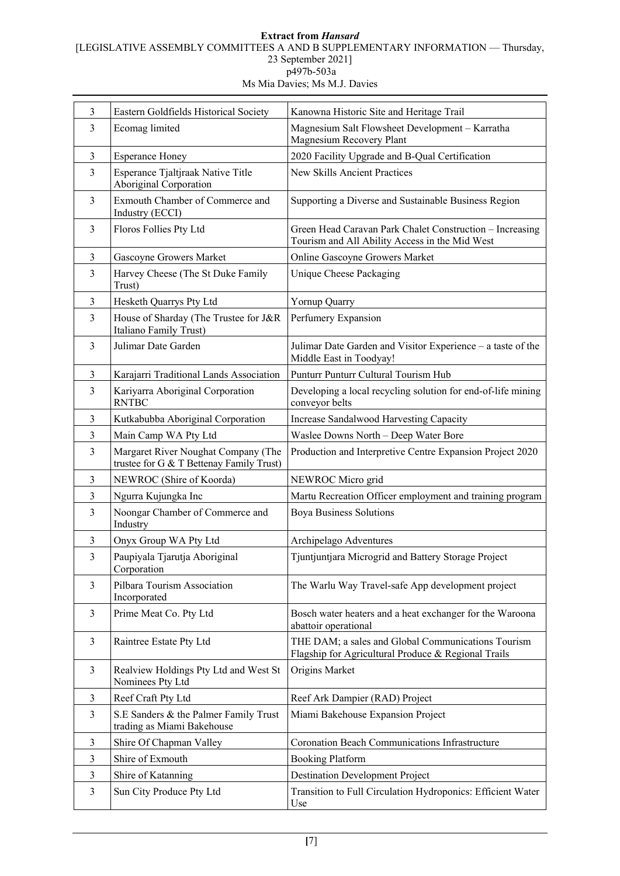# **Extract from** *Hansard* [LEGISLATIVE ASSEMBLY COMMITTEES A AND B SUPPLEMENTARY INFORMATION — Thursday, 23 September 2021] p497b-503a

Ms Mia Davies; Ms M.J. Davies

| $\overline{3}$ | Eastern Goldfields Historical Society                                           | Kanowna Historic Site and Heritage Trail                                                                   |
|----------------|---------------------------------------------------------------------------------|------------------------------------------------------------------------------------------------------------|
| 3              | Ecomag limited                                                                  | Magnesium Salt Flowsheet Development - Karratha<br>Magnesium Recovery Plant                                |
| 3              | <b>Esperance Honey</b>                                                          | 2020 Facility Upgrade and B-Qual Certification                                                             |
| 3              | Esperance Tjaltjraak Native Title<br>Aboriginal Corporation                     | <b>New Skills Ancient Practices</b>                                                                        |
| 3              | Exmouth Chamber of Commerce and<br>Industry (ECCI)                              | Supporting a Diverse and Sustainable Business Region                                                       |
| 3              | Floros Follies Pty Ltd                                                          | Green Head Caravan Park Chalet Construction - Increasing<br>Tourism and All Ability Access in the Mid West |
| 3              | Gascoyne Growers Market                                                         | Online Gascoyne Growers Market                                                                             |
| $\overline{3}$ | Harvey Cheese (The St Duke Family<br>Trust)                                     | Unique Cheese Packaging                                                                                    |
| 3              | Hesketh Quarrys Pty Ltd                                                         | Yornup Quarry                                                                                              |
| $\overline{3}$ | House of Sharday (The Trustee for J&R<br>Italiano Family Trust)                 | Perfumery Expansion                                                                                        |
| 3              | Julimar Date Garden                                                             | Julimar Date Garden and Visitor Experience - a taste of the<br>Middle East in Toodyay!                     |
| 3              | Karajarri Traditional Lands Association                                         | Punturr Punturr Cultural Tourism Hub                                                                       |
| 3              | Kariyarra Aboriginal Corporation<br><b>RNTBC</b>                                | Developing a local recycling solution for end-of-life mining<br>conveyor belts                             |
| 3              | Kutkabubba Aboriginal Corporation                                               | Increase Sandalwood Harvesting Capacity                                                                    |
| 3              | Main Camp WA Pty Ltd                                                            | Waslee Downs North - Deep Water Bore                                                                       |
| 3              | Margaret River Noughat Company (The<br>trustee for G & T Bettenay Family Trust) | Production and Interpretive Centre Expansion Project 2020                                                  |
| 3              | NEWROC (Shire of Koorda)                                                        | NEWROC Micro grid                                                                                          |
| 3              | Ngurra Kujungka Inc                                                             | Martu Recreation Officer employment and training program                                                   |
| 3              | Noongar Chamber of Commerce and<br>Industry                                     | <b>Boya Business Solutions</b>                                                                             |
| 3              | Onyx Group WA Pty Ltd                                                           | Archipelago Adventures                                                                                     |
| 3              | Paupiyala Tjarutja Aboriginal<br>Corporation                                    | Tjuntjuntjara Microgrid and Battery Storage Project                                                        |
| 3              | Pilbara Tourism Association<br>Incorporated                                     | The Warlu Way Travel-safe App development project                                                          |
| 3              | Prime Meat Co. Pty Ltd                                                          | Bosch water heaters and a heat exchanger for the Waroona<br>abattoir operational                           |
| 3              | Raintree Estate Pty Ltd                                                         | THE DAM; a sales and Global Communications Tourism<br>Flagship for Agricultural Produce & Regional Trails  |
| 3              | Realview Holdings Pty Ltd and West St<br>Nominees Pty Ltd                       | Origins Market                                                                                             |
| 3              | Reef Craft Pty Ltd                                                              | Reef Ark Dampier (RAD) Project                                                                             |
| 3              | S.E Sanders & the Palmer Family Trust<br>trading as Miami Bakehouse             | Miami Bakehouse Expansion Project                                                                          |
| 3              | Shire Of Chapman Valley                                                         | Coronation Beach Communications Infrastructure                                                             |
| 3              | Shire of Exmouth                                                                | <b>Booking Platform</b>                                                                                    |
| 3              | Shire of Katanning                                                              | <b>Destination Development Project</b>                                                                     |
| 3              | Sun City Produce Pty Ltd                                                        | Transition to Full Circulation Hydroponics: Efficient Water<br>Use                                         |